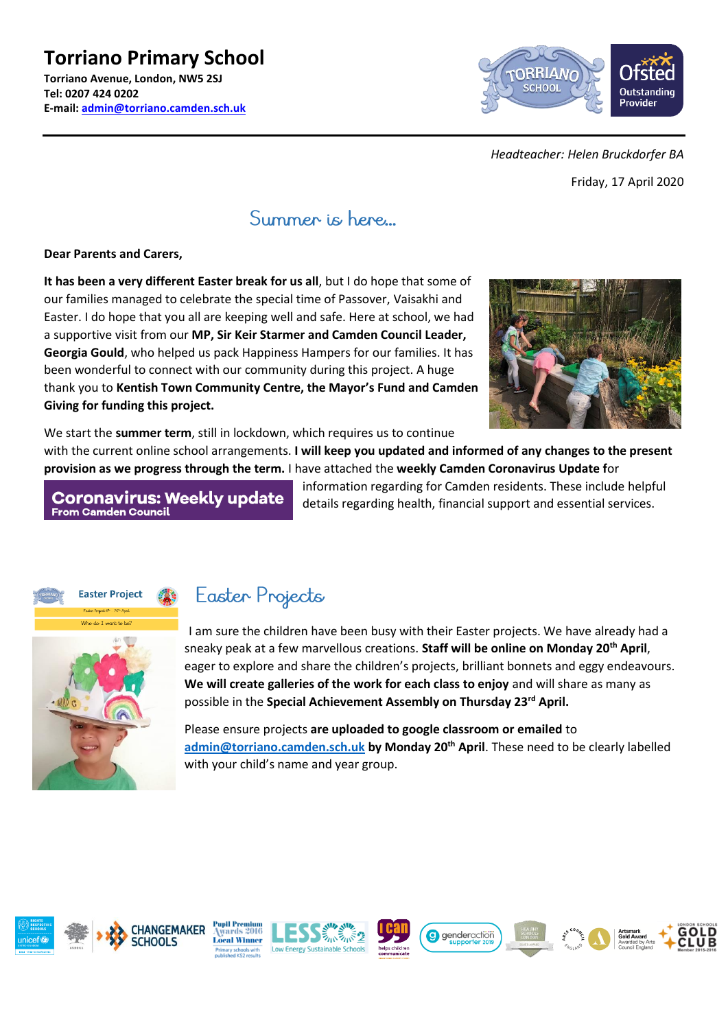#### **Torriano Primary School Torriano Avenue, London, NW5 2SJ Tel: 0207 424 0202 E-mail: [admin@torriano.camden.sch.uk](mailto:admin@torriano.camden.sch.uk)**



#### *Headteacher: Helen Bruckdorfer BA*

Friday, 17 April 2020

### Summer is here...

#### **Dear Parents and Carers,**

**It has been a very different Easter break for us all**, but I do hope that some of our families managed to celebrate the special time of Passover, Vaisakhi and Easter. I do hope that you all are keeping well and safe. Here at school, we had a supportive visit from our **MP, Sir Keir Starmer and Camden Council Leader, Georgia Gould**, who helped us pack Happiness Hampers for our families. It has been wonderful to connect with our community during this project. A huge thank you to **Kentish Town Community Centre, the Mayor's Fund and Camden Giving for funding this project.** 



We start the **summer term**, still in lockdown, which requires us to continue

with the current online school arrangements. **I will keep you updated and informed of any changes to the present provision as we progress through the term.** I have attached the **weekly Camden Coronavirus Update f**or

**Coronavirus: Weekly update From Camden Council** 

information regarding for Camden residents. These include helpful details regarding health, financial support and essential services.



## Easter Projects

I am sure the children have been busy with their Easter projects. We have already had a sneaky peak at a few marvellous creations. **Staff will be online on Monday 20th April**, eager to explore and share the children's projects, brilliant bonnets and eggy endeavours. **We will create galleries of the work for each class to enjoy** and will share as many as possible in the **Special Achievement Assembly on Thursday 23rd April.**

Please ensure projects **are uploaded to google classroom or emailed** to **[admin@torriano.camden.sch.uk](mailto:admin@torriano.camden.sch.uk) by Monday 20th April**. These need to be clearly labelled with your child's name and year group.

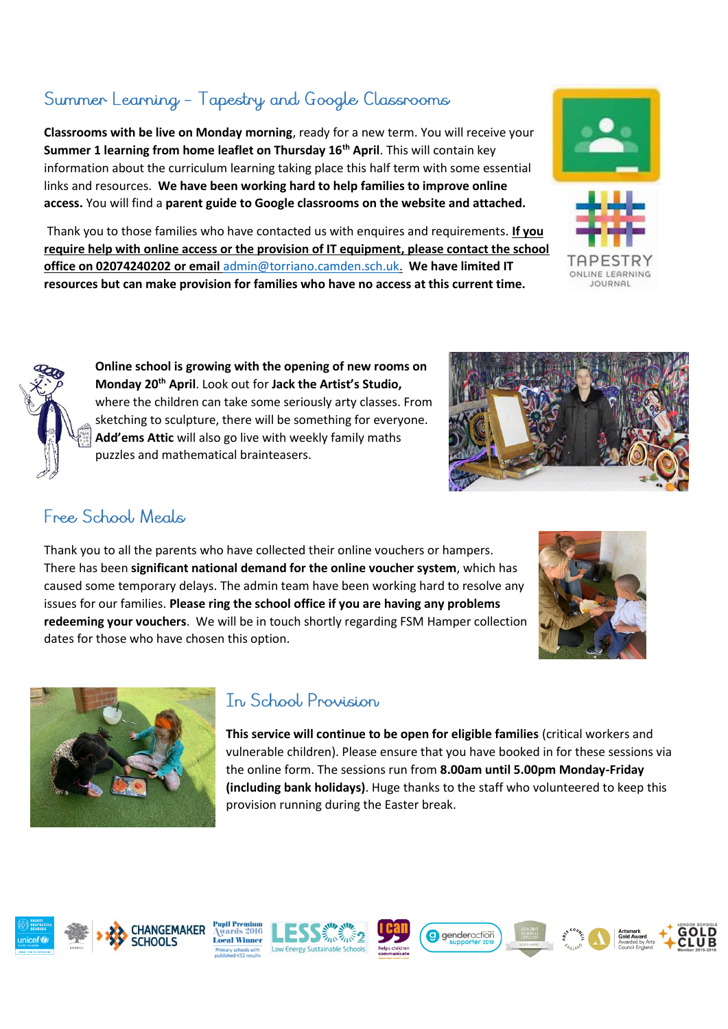# Summer Learning - Tapestry and Google Classrooms

**Classrooms with be live on Monday morning**, ready for a new term. You will receive your **Summer 1 learning from home leaflet on Thursday 16th April**. This will contain key information about the curriculum learning taking place this half term with some essential links and resources. **We have been working hard to help families to improve online access.** You will find a **parent guide to Google classrooms on the website and attached.**

Thank you to those families who have contacted us with enquires and requirements. **If you require help with online access or the provision of IT equipment, please contact the school office on 02074240202 or email** [admin@torriano.camden.sch.uk.](mailto:admin@torriano.camden.sch.uk) **We have limited IT resources but can make provision for families who have no access at this current time.**

**Online school is growing with the opening of new rooms on Monday 20th April**. Look out for **Jack the Artist's Studio,** where the children can take some seriously arty classes. From sketching to sculpture, there will be something for everyone. **Add'ems Attic** will also go live with weekly family maths puzzles and mathematical brainteasers.

### Free School, Meals

Thank you to all the parents who have collected their online vouchers or hampers. There has been **significant national demand for the online voucher system**, which has caused some temporary delays. The admin team have been working hard to resolve any issues for our families. **Please ring the school office if you are having any problems redeeming your vouchers**. We will be in touch shortly regarding FSM Hamper collection dates for those who have chosen this option.

### In School Provision

**This service will continue to be open for eligible families** (critical workers and vulnerable children). Please ensure that you have booked in for these sessions via the online form. The sessions run from **8.00am until 5.00pm Monday-Friday (including bank holidays)**. Huge thanks to the staff who volunteered to keep this provision running during the Easter break.